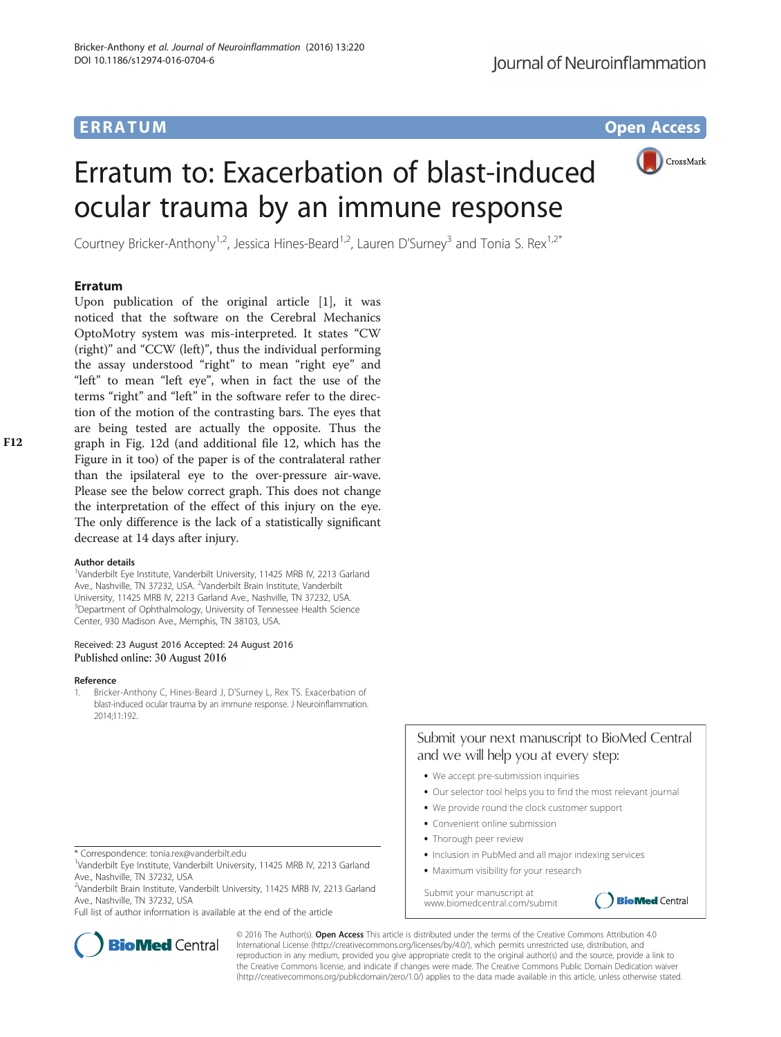## ERRA TUM Op[en](http://crossmark.crossref.org/dialog/?doi=10.1186/s12974-016-0704-6&domain=pdf) [Access](http://crossmark.crossref.org/dialog/?doi=10.1186/s12974-016-0704-6&domain=pdf)

CrossMark

# Erratum to: Exacerbation of blast-induced ocular trauma by an immune response

Courtney Bricker-Anthony<sup>1,2</sup>, Jessica Hines-Beard<sup>1,2</sup>, Lauren D'Surney<sup>3</sup> and Tonia S. Rex<sup>1,2\*</sup>

Upon publication of the original article [1], it was noticed that the software on the Cerebral Mechanics OptoMotry system was mis-interpreted. It states "CW (right)" and "CCW (left)", thus the individual performing the assay understood "right" to mean "right eye" and "left" to mean "left eye", when in fact the use of the terms "right" and "left" in the software refer to the direction of the motion of the contrasting bars. The eyes that are being tested are actually the opposite. Thus the graph in Fig. [12d](#page-1-0) (and additional file 12, which has the Figure in it too) of the paper is of the contralateral rather than the ipsilateral eye to the over-pressure air-wave. Please see the below correct graph. This does not change the interpretation of the effect of this injury on the eye. The only difference is the lack of a statistically significant decrease at 14 days after injury.

<sup>1</sup>Vanderbilt Eye Institute, Vanderbilt University, 11425 MRB IV, 2213 Garland Ave., Nashville, TN 37232, USA. <sup>2</sup>Vanderbilt Brain Institute, Vanderbilt University, 11425 MRB IV, 2213 Garland Ave., Nashville, TN 37232, USA. <sup>3</sup>Department of Ophthalmology, University of Tennessee Health Science Center, 930 Madison Ave., Memphis, TN 38103, USA.

## Received: 23 August 2016 Accepted: 24 August 2016 Published online: 30 August 2016

### Reference

1. Bricker-Anthony C, Hines-Beard J, D'Surney L, Rex TS. Exacerbation of blast-induced ocular trauma by an immune response. J Neuroinflammation. 2014;11:192.

<sup>2</sup>Vanderbilt Brain Institute, Vanderbilt University, 11425 MRB IV, 2213 Garland Ave., Nashville, TN 37232, USA

Full list of author information is available at the end of the article



Submit your next manuscript to BioMed Central

**•** We provide round the clock customer support

and we will help you at every step:

- Convenient online submission
- **•** Thorough peer review
- Inclusion in PubMed and all major indexing services
- **•** Maximum visibility for your research

Submit your manuscript at www.biomedcentral.com/submit





© 2016 The Author(s). Open Access This article is distributed under the terms of the Creative Commons Attribution 4.0 International License [\(http://creativecommons.org/licenses/by/4.0/](http://creativecommons.org/licenses/by/4.0/)), which permits unrestricted use, distribution, and reproduction in any medium, provided you give appropriate credit to the original author(s) and the source, provide a link to the Creative Commons license, and indicate if changes were made. The Creative Commons Public Domain Dedication waiver [\(http://creativecommons.org/publicdomain/zero/1.0/](http://creativecommons.org/publicdomain/zero/1.0/)) applies to the data made available in this article, unless otherwise stated.

<sup>\*</sup> Correspondence: [tonia.rex@vanderbilt.edu](mailto:tonia.rex@vanderbilt.edu) <sup>1</sup>

Vanderbilt Eye Institute, Vanderbilt University, 11425 MRB IV, 2213 Garland Ave., Nashville, TN 37232, USA